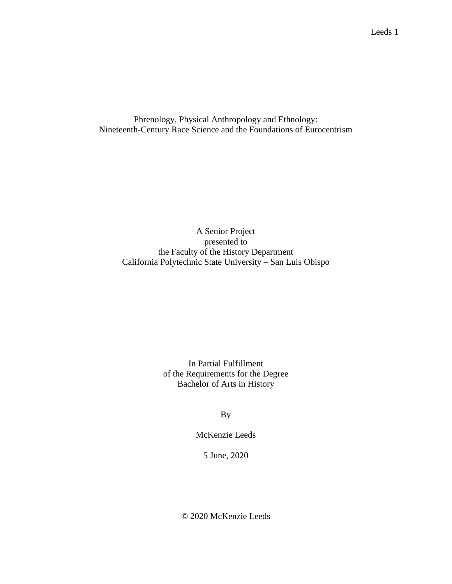Phrenology, Physical Anthropology and Ethnology: Nineteenth-Century Race Science and the Foundations of Eurocentrism

A Senior Project presented to the Faculty of the History Department California Polytechnic State University – San Luis Obispo

> In Partial Fulfillment of the Requirements for the Degree Bachelor of Arts in History

> > By

McKenzie Leeds

5 June, 2020

© 2020 McKenzie Leeds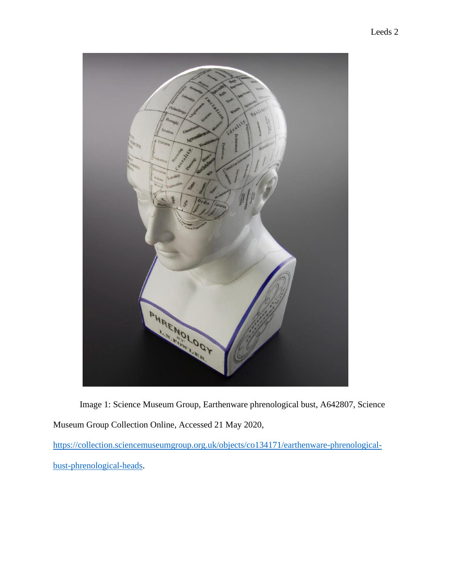

Image 1: Science Museum Group, Earthenware phrenological bust, A642807, Science Museum Group Collection Online, Accessed 21 May 2020,

[https://collection.sciencemuseumgroup.org.uk/objects/co134171/earthenware-phrenological](https://collection.sciencemuseumgroup.org.uk/objects/co134171/earthenware-phrenological-bust-phrenological-heads)[bust-phrenological-heads.](https://collection.sciencemuseumgroup.org.uk/objects/co134171/earthenware-phrenological-bust-phrenological-heads)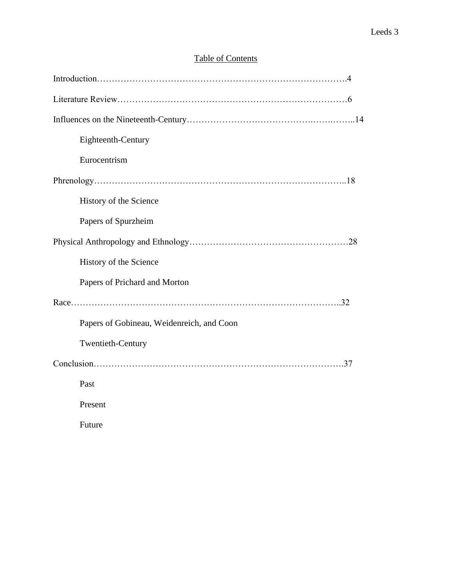# Table of Contents

| Eighteenth-Century                        |
|-------------------------------------------|
| Eurocentrism                              |
|                                           |
| History of the Science                    |
| Papers of Spurzheim                       |
|                                           |
| History of the Science                    |
| Papers of Prichard and Morton             |
|                                           |
| Papers of Gobineau, Weidenreich, and Coon |
| Twentieth-Century                         |
|                                           |
| Past                                      |
| Present                                   |
| Future                                    |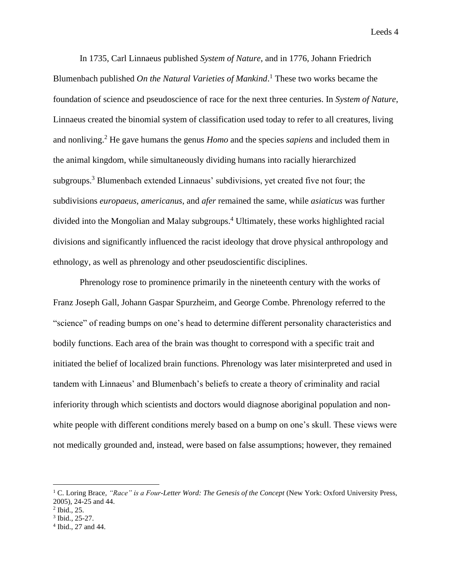In 1735, Carl Linnaeus published *System of Nature*, and in 1776, Johann Friedrich Blumenbach published *On the Natural Varieties of Mankind*. <sup>1</sup> These two works became the foundation of science and pseudoscience of race for the next three centuries. In *System of Nature*, Linnaeus created the binomial system of classification used today to refer to all creatures, living and nonliving.<sup>2</sup> He gave humans the genus *Homo* and the species *sapiens* and included them in the animal kingdom, while simultaneously dividing humans into racially hierarchized subgroups.<sup>3</sup> Blumenbach extended Linnaeus' subdivisions, yet created five not four; the subdivisions *europaeus*, *americanus*, and *afer* remained the same, while *asiaticus* was further divided into the Mongolian and Malay subgroups. <sup>4</sup> Ultimately, these works highlighted racial divisions and significantly influenced the racist ideology that drove physical anthropology and ethnology, as well as phrenology and other pseudoscientific disciplines.

Phrenology rose to prominence primarily in the nineteenth century with the works of Franz Joseph Gall, Johann Gaspar Spurzheim, and George Combe. Phrenology referred to the "science" of reading bumps on one's head to determine different personality characteristics and bodily functions. Each area of the brain was thought to correspond with a specific trait and initiated the belief of localized brain functions. Phrenology was later misinterpreted and used in tandem with Linnaeus' and Blumenbach's beliefs to create a theory of criminality and racial inferiority through which scientists and doctors would diagnose aboriginal population and nonwhite people with different conditions merely based on a bump on one's skull. These views were not medically grounded and, instead, were based on false assumptions; however, they remained

<sup>&</sup>lt;sup>1</sup> C. Loring Brace, "Race" is a Four-Letter Word: The Genesis of the Concept (New York: Oxford University Press, 2005), 24-25 and 44.

<sup>2</sup> Ibid., 25.

<sup>&</sup>lt;sup>3</sup> Ibid., 25-27.

<sup>4</sup> Ibid., 27 and 44.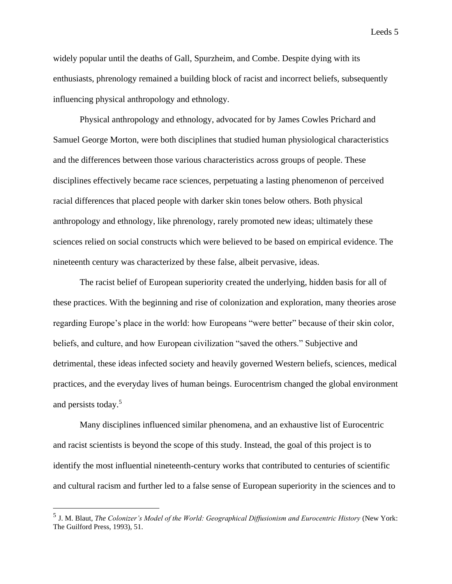widely popular until the deaths of Gall, Spurzheim, and Combe. Despite dying with its enthusiasts, phrenology remained a building block of racist and incorrect beliefs, subsequently influencing physical anthropology and ethnology.

Physical anthropology and ethnology, advocated for by James Cowles Prichard and Samuel George Morton, were both disciplines that studied human physiological characteristics and the differences between those various characteristics across groups of people. These disciplines effectively became race sciences, perpetuating a lasting phenomenon of perceived racial differences that placed people with darker skin tones below others. Both physical anthropology and ethnology, like phrenology, rarely promoted new ideas; ultimately these sciences relied on social constructs which were believed to be based on empirical evidence. The nineteenth century was characterized by these false, albeit pervasive, ideas.

The racist belief of European superiority created the underlying, hidden basis for all of these practices. With the beginning and rise of colonization and exploration, many theories arose regarding Europe's place in the world: how Europeans "were better" because of their skin color, beliefs, and culture, and how European civilization "saved the others." Subjective and detrimental, these ideas infected society and heavily governed Western beliefs, sciences, medical practices, and the everyday lives of human beings. Eurocentrism changed the global environment and persists today.<sup>5</sup>

Many disciplines influenced similar phenomena, and an exhaustive list of Eurocentric and racist scientists is beyond the scope of this study. Instead, the goal of this project is to identify the most influential nineteenth-century works that contributed to centuries of scientific and cultural racism and further led to a false sense of European superiority in the sciences and to

<sup>5</sup> J. M. Blaut, *The Colonizer's Model of the World: Geographical Diffusionism and Eurocentric History* (New York: The Guilford Press, 1993), 51.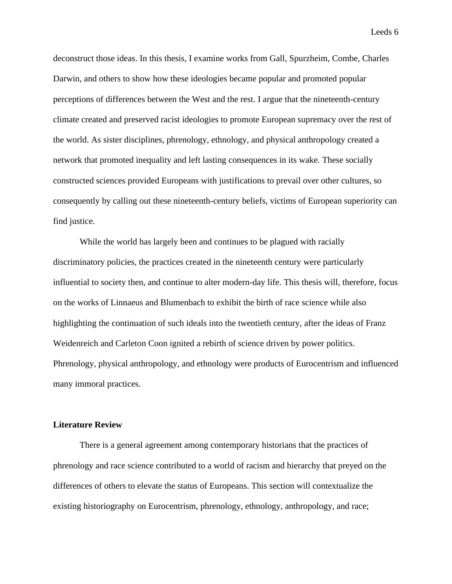deconstruct those ideas. In this thesis, I examine works from Gall, Spurzheim, Combe, Charles Darwin, and others to show how these ideologies became popular and promoted popular perceptions of differences between the West and the rest. I argue that the nineteenth-century climate created and preserved racist ideologies to promote European supremacy over the rest of the world. As sister disciplines, phrenology, ethnology, and physical anthropology created a network that promoted inequality and left lasting consequences in its wake. These socially constructed sciences provided Europeans with justifications to prevail over other cultures, so consequently by calling out these nineteenth-century beliefs, victims of European superiority can find justice.

While the world has largely been and continues to be plagued with racially discriminatory policies, the practices created in the nineteenth century were particularly influential to society then, and continue to alter modern-day life. This thesis will, therefore, focus on the works of Linnaeus and Blumenbach to exhibit the birth of race science while also highlighting the continuation of such ideals into the twentieth century, after the ideas of Franz Weidenreich and Carleton Coon ignited a rebirth of science driven by power politics. Phrenology, physical anthropology, and ethnology were products of Eurocentrism and influenced many immoral practices.

#### **Literature Review**

There is a general agreement among contemporary historians that the practices of phrenology and race science contributed to a world of racism and hierarchy that preyed on the differences of others to elevate the status of Europeans. This section will contextualize the existing historiography on Eurocentrism, phrenology, ethnology, anthropology, and race;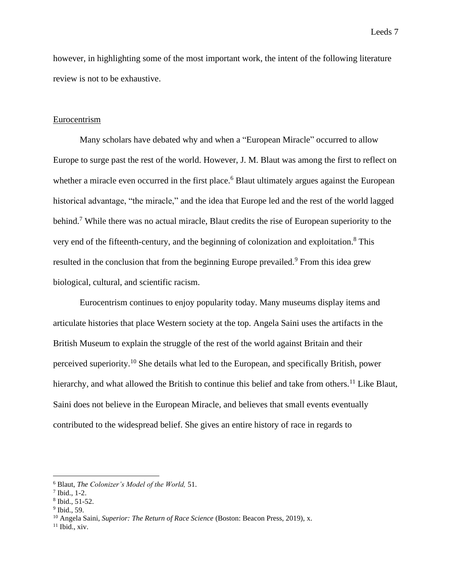however, in highlighting some of the most important work, the intent of the following literature review is not to be exhaustive.

## Eurocentrism

Many scholars have debated why and when a "European Miracle" occurred to allow Europe to surge past the rest of the world. However, J. M. Blaut was among the first to reflect on whether a miracle even occurred in the first place.<sup>6</sup> Blaut ultimately argues against the European historical advantage, "the miracle," and the idea that Europe led and the rest of the world lagged behind.<sup>7</sup> While there was no actual miracle, Blaut credits the rise of European superiority to the very end of the fifteenth-century, and the beginning of colonization and exploitation.<sup>8</sup> This resulted in the conclusion that from the beginning Europe prevailed.<sup>9</sup> From this idea grew biological, cultural, and scientific racism.

Eurocentrism continues to enjoy popularity today. Many museums display items and articulate histories that place Western society at the top. Angela Saini uses the artifacts in the British Museum to explain the struggle of the rest of the world against Britain and their perceived superiority.<sup>10</sup> She details what led to the European, and specifically British, power hierarchy, and what allowed the British to continue this belief and take from others.<sup>11</sup> Like Blaut, Saini does not believe in the European Miracle, and believes that small events eventually contributed to the widespread belief. She gives an entire history of race in regards to

<sup>6</sup> Blaut, *The Colonizer's Model of the World,* 51.

<sup>7</sup> Ibid., 1-2.

<sup>8</sup> Ibid., 51-52.

<sup>9</sup> Ibid., 59.

<sup>10</sup> Angela Saini, *Superior: The Return of Race Science* (Boston: Beacon Press, 2019), x.

 $11$  Ibid., xiv.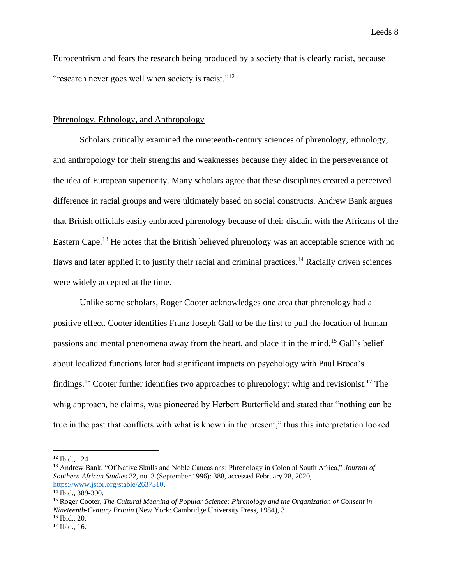Eurocentrism and fears the research being produced by a society that is clearly racist, because "research never goes well when society is racist."<sup>12</sup>

## Phrenology, Ethnology, and Anthropology

Scholars critically examined the nineteenth-century sciences of phrenology, ethnology, and anthropology for their strengths and weaknesses because they aided in the perseverance of the idea of European superiority. Many scholars agree that these disciplines created a perceived difference in racial groups and were ultimately based on social constructs. Andrew Bank argues that British officials easily embraced phrenology because of their disdain with the Africans of the Eastern Cape.<sup>13</sup> He notes that the British believed phrenology was an acceptable science with no flaws and later applied it to justify their racial and criminal practices.<sup>14</sup> Racially driven sciences were widely accepted at the time.

Unlike some scholars, Roger Cooter acknowledges one area that phrenology had a positive effect. Cooter identifies Franz Joseph Gall to be the first to pull the location of human passions and mental phenomena away from the heart, and place it in the mind.<sup>15</sup> Gall's belief about localized functions later had significant impacts on psychology with Paul Broca's findings.<sup>16</sup> Cooter further identifies two approaches to phrenology: whig and revisionist.<sup>17</sup> The whig approach, he claims, was pioneered by Herbert Butterfield and stated that "nothing can be true in the past that conflicts with what is known in the present," thus this interpretation looked

<sup>12</sup> Ibid., 124.

<sup>13</sup> Andrew Bank, "Of Native Skulls and Noble Caucasians: Phrenology in Colonial South Africa," *Journal of Southern African Studies 22*, no. 3 (September 1996): 388, accessed February 28, 2020, [https://www.jstor.org/stable/2637310.](https://www.jstor.org/stable/2637310)

<sup>14</sup> Ibid., 389-390.

<sup>15</sup> Roger Cooter, *The Cultural Meaning of Popular Science: Phrenology and the Organization of Consent in Nineteenth-Century Britain* (New York: Cambridge University Press, 1984), 3.

 $16$  Ibid., 20.

<sup>17</sup> Ibid., 16.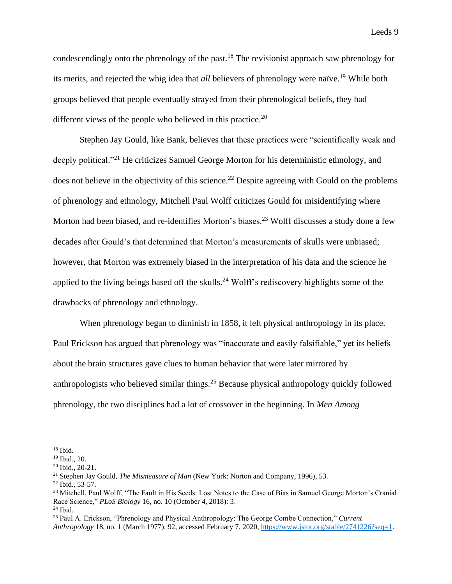condescendingly onto the phrenology of the past.<sup>18</sup> The revisionist approach saw phrenology for its merits, and rejected the whig idea that *all* believers of phrenology were naïve.<sup>19</sup> While both groups believed that people eventually strayed from their phrenological beliefs, they had different views of the people who believed in this practice.<sup>20</sup>

Stephen Jay Gould, like Bank, believes that these practices were "scientifically weak and deeply political."<sup>21</sup> He criticizes Samuel George Morton for his deterministic ethnology, and does not believe in the objectivity of this science.<sup>22</sup> Despite agreeing with Gould on the problems of phrenology and ethnology, Mitchell Paul Wolff criticizes Gould for misidentifying where Morton had been biased, and re-identifies Morton's biases.<sup>23</sup> Wolff discusses a study done a few decades after Gould's that determined that Morton's measurements of skulls were unbiased; however, that Morton was extremely biased in the interpretation of his data and the science he applied to the living beings based off the skulls.<sup>24</sup> Wolff's rediscovery highlights some of the drawbacks of phrenology and ethnology.

When phrenology began to diminish in 1858, it left physical anthropology in its place. Paul Erickson has argued that phrenology was "inaccurate and easily falsifiable," yet its beliefs about the brain structures gave clues to human behavior that were later mirrored by anthropologists who believed similar things.<sup>25</sup> Because physical anthropology quickly followed phrenology, the two disciplines had a lot of crossover in the beginning. In *Men Among* 

 $18$  Ibid.

<sup>19</sup> Ibid., 20.

<sup>20</sup> Ibid., 20-21.

<sup>21</sup> Stephen Jay Gould, *The Mismeasure of Man* (New York: Norton and Company, 1996), 53.

 $22$  Ibid., 53-57.

<sup>&</sup>lt;sup>23</sup> Mitchell, Paul Wolff, "The Fault in His Seeds: Lost Notes to the Case of Bias in Samuel George Morton's Cranial Race Science," *PLoS Biology* 16, no. 10 (October 4, 2018): 3.  $24$  Ibid.

<sup>25</sup> Paul A. Erickson, "Phrenology and Physical Anthropology: The George Combe Connection," *Current Anthropology* 18, no. 1 (March 1977): 92, accessed February 7, 2020[, https://www.jstor.org/stable/2741226?seq=1.](https://www.jstor.org/stable/2741226?seq=1)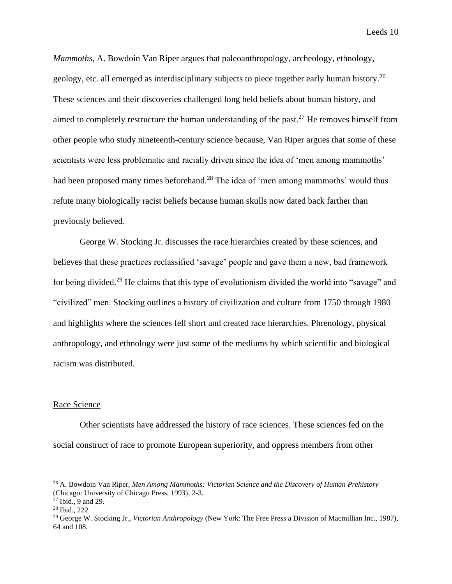*Mammoths*, A. Bowdoin Van Riper argues that paleoanthropology, archeology, ethnology, geology, etc. all emerged as interdisciplinary subjects to piece together early human history.<sup>26</sup> These sciences and their discoveries challenged long held beliefs about human history, and aimed to completely restructure the human understanding of the past.<sup>27</sup> He removes himself from other people who study nineteenth-century science because, Van Riper argues that some of these scientists were less problematic and racially driven since the idea of 'men among mammoths' had been proposed many times beforehand.<sup>28</sup> The idea of 'men among mammoths' would thus refute many biologically racist beliefs because human skulls now dated back farther than previously believed.

George W. Stocking Jr. discusses the race hierarchies created by these sciences, and believes that these practices reclassified 'savage' people and gave them a new, bad framework for being divided.<sup>29</sup> He claims that this type of evolutionism divided the world into "savage" and "civilized" men. Stocking outlines a history of civilization and culture from 1750 through 1980 and highlights where the sciences fell short and created race hierarchies. Phrenology, physical anthropology, and ethnology were just some of the mediums by which scientific and biological racism was distributed.

#### Race Science

Other scientists have addressed the history of race sciences. These sciences fed on the social construct of race to promote European superiority, and oppress members from other

<sup>26</sup> A. Bowdoin Van Riper, *Men Among Mammoths: Victorian Science and the Discovery of Human Prehistory* (Chicago: University of Chicago Press, 1993), 2-3.

 $27$  Ibid., 9 and 29.

<sup>28</sup> Ibid., 222.

<sup>29</sup> George W. Stocking Jr., *Victorian Anthropology* (New York: The Free Press a Division of Macmillian Inc., 1987), 64 and 108.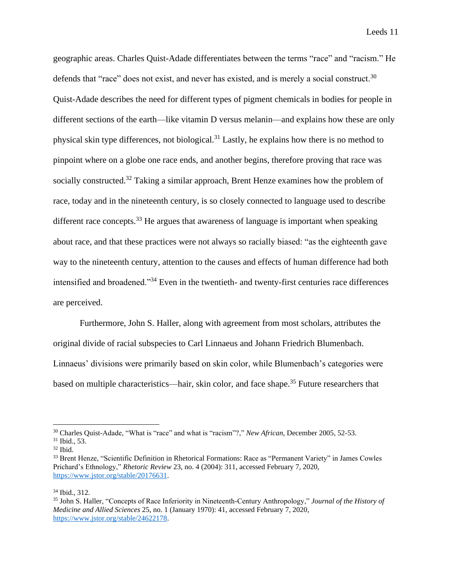geographic areas. Charles Quist-Adade differentiates between the terms "race" and "racism." He defends that "race" does not exist, and never has existed, and is merely a social construct.<sup>30</sup> Quist-Adade describes the need for different types of pigment chemicals in bodies for people in different sections of the earth—like vitamin D versus melanin—and explains how these are only physical skin type differences, not biological.<sup>31</sup> Lastly, he explains how there is no method to pinpoint where on a globe one race ends, and another begins, therefore proving that race was socially constructed.<sup>32</sup> Taking a similar approach, Brent Henze examines how the problem of race, today and in the nineteenth century, is so closely connected to language used to describe different race concepts.<sup>33</sup> He argues that awareness of language is important when speaking about race, and that these practices were not always so racially biased: "as the eighteenth gave way to the nineteenth century, attention to the causes and effects of human difference had both intensified and broadened."<sup>34</sup> Even in the twentieth- and twenty-first centuries race differences are perceived.

Furthermore, John S. Haller, along with agreement from most scholars, attributes the original divide of racial subspecies to Carl Linnaeus and Johann Friedrich Blumenbach. Linnaeus' divisions were primarily based on skin color, while Blumenbach's categories were based on multiple characteristics—hair, skin color, and face shape.<sup>35</sup> Future researchers that

<sup>30</sup> Charles Quist-Adade, "What is "race" and what is "racism"?," *New African*, December 2005, 52-53.

<sup>31</sup> Ibid., 53.

<sup>32</sup> Ibid.

<sup>&</sup>lt;sup>33</sup> Brent Henze, "Scientific Definition in Rhetorical Formations: Race as "Permanent Variety" in James Cowles Prichard's Ethnology," *Rhetoric Review* 23, no. 4 (2004): 311, accessed February 7, 2020, [https://www.jstor.org/stable/20176631.](https://www.jstor.org/stable/20176631)

<sup>34</sup> Ibid., 312.

<sup>35</sup> John S. Haller, "Concepts of Race Inferiority in Nineteenth-Century Anthropology," *Journal of the History of Medicine and Allied Sciences* 25, no. 1 (January 1970): 41, accessed February 7, 2020, [https://www.jstor.org/stable/24622178.](https://www.jstor.org/stable/24622178)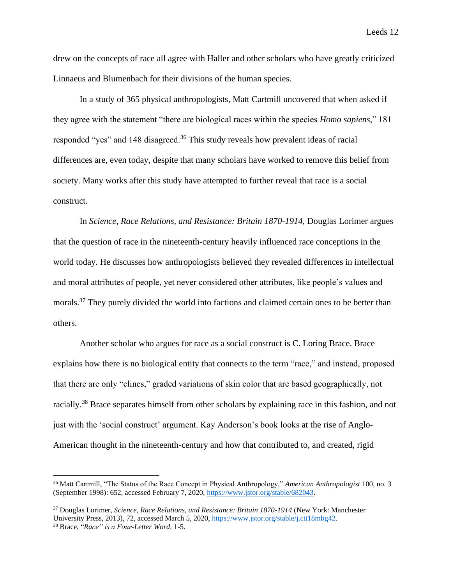drew on the concepts of race all agree with Haller and other scholars who have greatly criticized Linnaeus and Blumenbach for their divisions of the human species.

In a study of 365 physical anthropologists, Matt Cartmill uncovered that when asked if they agree with the statement "there are biological races within the species *Homo sapiens,*" 181 responded "yes" and 148 disagreed.<sup>36</sup> This study reveals how prevalent ideas of racial differences are, even today, despite that many scholars have worked to remove this belief from society. Many works after this study have attempted to further reveal that race is a social construct.

In *Science, Race Relations, and Resistance: Britain 1870-1914*, Douglas Lorimer argues that the question of race in the nineteenth-century heavily influenced race conceptions in the world today. He discusses how anthropologists believed they revealed differences in intellectual and moral attributes of people, yet never considered other attributes, like people's values and morals.<sup>37</sup> They purely divided the world into factions and claimed certain ones to be better than others.

Another scholar who argues for race as a social construct is C. Loring Brace. Brace explains how there is no biological entity that connects to the term "race," and instead, proposed that there are only "clines," graded variations of skin color that are based geographically, not racially.<sup>38</sup> Brace separates himself from other scholars by explaining race in this fashion, and not just with the 'social construct' argument. Kay Anderson's book looks at the rise of Anglo-American thought in the nineteenth-century and how that contributed to, and created, rigid

<sup>36</sup> Matt Cartmill, "The Status of the Race Concept in Physical Anthropology," *American Anthropologist* 100, no. 3 (September 1998): 652, accessed February 7, 2020, [https://www.jstor.org/stable/682043.](https://www.jstor.org/stable/682043)

<sup>37</sup> Douglas Lorimer, *Science, Race Relations, and Resistance: Britain 1870-1914* (New York: Manchester University Press, 2013), 72, accessed March 5, 2020, [https://www.jstor.org/stable/j.ctt18mbg42.](https://www.jstor.org/stable/j.ctt18mbg42) <sup>38</sup> Brace, "*Race" is a Four-Letter Word,* 1-5.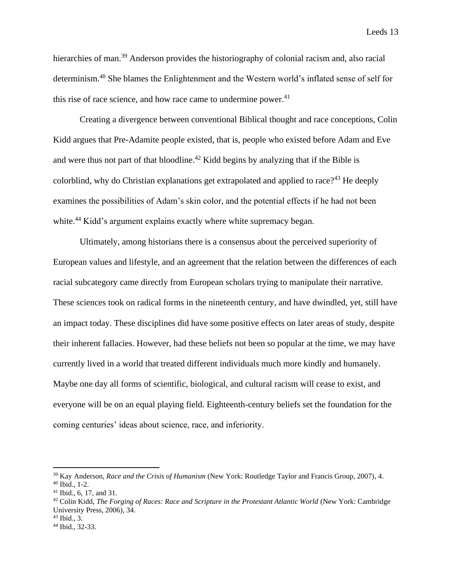hierarchies of man.<sup>39</sup> Anderson provides the historiography of colonial racism and, also racial determinism.<sup>40</sup> She blames the Enlightenment and the Western world's inflated sense of self for this rise of race science, and how race came to undermine power. $41$ 

Creating a divergence between conventional Biblical thought and race conceptions, Colin Kidd argues that Pre-Adamite people existed, that is, people who existed before Adam and Eve and were thus not part of that bloodline.<sup>42</sup> Kidd begins by analyzing that if the Bible is colorblind, why do Christian explanations get extrapolated and applied to race?<sup>43</sup> He deeply examines the possibilities of Adam's skin color, and the potential effects if he had not been white.<sup>44</sup> Kidd's argument explains exactly where white supremacy began.

Ultimately, among historians there is a consensus about the perceived superiority of European values and lifestyle, and an agreement that the relation between the differences of each racial subcategory came directly from European scholars trying to manipulate their narrative. These sciences took on radical forms in the nineteenth century, and have dwindled, yet, still have an impact today. These disciplines did have some positive effects on later areas of study, despite their inherent fallacies. However, had these beliefs not been so popular at the time, we may have currently lived in a world that treated different individuals much more kindly and humanely. Maybe one day all forms of scientific, biological, and cultural racism will cease to exist, and everyone will be on an equal playing field. Eighteenth-century beliefs set the foundation for the coming centuries' ideas about science, race, and inferiority.

<sup>39</sup> Kay Anderson, *Race and the Crisis of Humanism* (New York: Routledge Taylor and Francis Group, 2007), 4.

<sup>40</sup> Ibid., 1-2.

 $41$  Ibid., 6, 17, and 31.

<sup>42</sup> Colin Kidd, *The Forging of Races: Race and Scripture in the Protestant Atlantic World* (New York: Cambridge University Press, 2006), 34.

 $43$  Ibid., 3.

<sup>44</sup> Ibid., 32-33.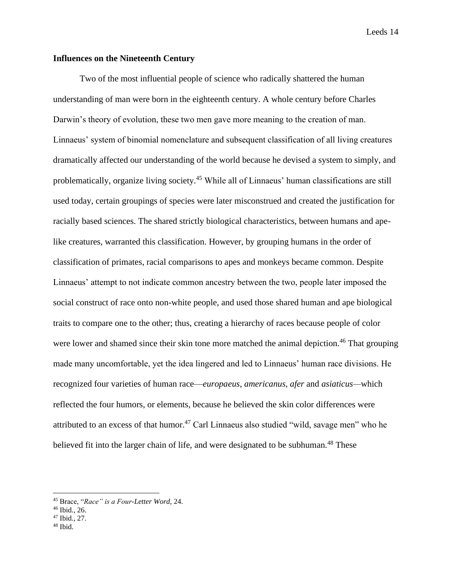# **Influences on the Nineteenth Century**

Two of the most influential people of science who radically shattered the human understanding of man were born in the eighteenth century. A whole century before Charles Darwin's theory of evolution, these two men gave more meaning to the creation of man. Linnaeus' system of binomial nomenclature and subsequent classification of all living creatures dramatically affected our understanding of the world because he devised a system to simply, and problematically, organize living society.<sup>45</sup> While all of Linnaeus' human classifications are still used today, certain groupings of species were later misconstrued and created the justification for racially based sciences. The shared strictly biological characteristics, between humans and apelike creatures, warranted this classification. However, by grouping humans in the order of classification of primates, racial comparisons to apes and monkeys became common. Despite Linnaeus' attempt to not indicate common ancestry between the two, people later imposed the social construct of race onto non-white people, and used those shared human and ape biological traits to compare one to the other; thus, creating a hierarchy of races because people of color were lower and shamed since their skin tone more matched the animal depiction.<sup>46</sup> That grouping made many uncomfortable, yet the idea lingered and led to Linnaeus' human race divisions. He recognized four varieties of human race—*europaeus*, *americanus, afer* and *asiaticus—*which reflected the four humors, or elements, because he believed the skin color differences were attributed to an excess of that humor.<sup>47</sup> Carl Linnaeus also studied "wild, savage men" who he believed fit into the larger chain of life, and were designated to be subhuman.<sup>48</sup> These

- <sup>47</sup> Ibid., 27.
- $48$  Ibid.

<sup>45</sup> Brace, "*Race" is a Four-Letter Word*, 24.

<sup>46</sup> Ibid., 26.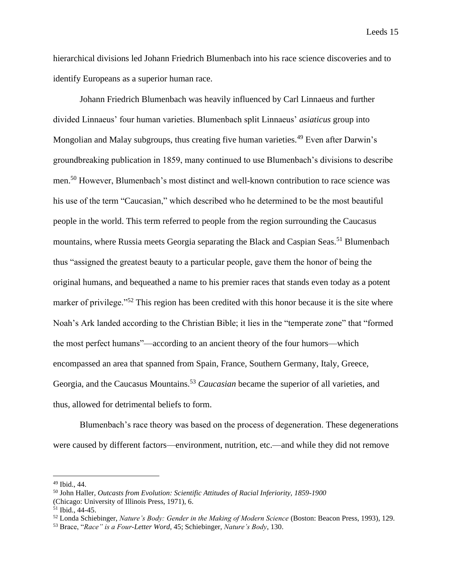hierarchical divisions led Johann Friedrich Blumenbach into his race science discoveries and to identify Europeans as a superior human race.

Johann Friedrich Blumenbach was heavily influenced by Carl Linnaeus and further divided Linnaeus' four human varieties. Blumenbach split Linnaeus' *asiaticus* group into Mongolian and Malay subgroups, thus creating five human varieties.<sup>49</sup> Even after Darwin's groundbreaking publication in 1859, many continued to use Blumenbach's divisions to describe men.<sup>50</sup> However, Blumenbach's most distinct and well-known contribution to race science was his use of the term "Caucasian," which described who he determined to be the most beautiful people in the world. This term referred to people from the region surrounding the Caucasus mountains, where Russia meets Georgia separating the Black and Caspian Seas.<sup>51</sup> Blumenbach thus "assigned the greatest beauty to a particular people, gave them the honor of being the original humans, and bequeathed a name to his premier races that stands even today as a potent marker of privilege."<sup>52</sup> This region has been credited with this honor because it is the site where Noah's Ark landed according to the Christian Bible; it lies in the "temperate zone" that "formed the most perfect humans"—according to an ancient theory of the four humors—which encompassed an area that spanned from Spain, France, Southern Germany, Italy, Greece, Georgia, and the Caucasus Mountains.<sup>53</sup> *Caucasian* became the superior of all varieties, and thus, allowed for detrimental beliefs to form.

Blumenbach's race theory was based on the process of degeneration. These degenerations were caused by different factors—environment, nutrition, etc.—and while they did not remove

<sup>49</sup> Ibid., 44.

<sup>50</sup> John Haller, *Outcasts from Evolution: Scientific Attitudes of Racial Inferiority, 1859-1900*

<sup>(</sup>Chicago: University of Illinois Press, 1971), 6.

<sup>51</sup> Ibid., 44-45.

<sup>52</sup> Londa Schiebinger, *Nature's Body: Gender in the Making of Modern Science* (Boston: Beacon Press, 1993), 129.

<sup>53</sup> Brace, "*Race" is a Four-Letter Word*, 45; Schiebinger, *Nature's Body*, 130.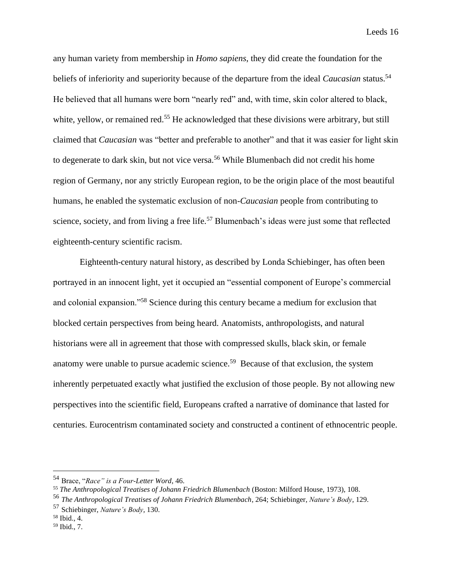any human variety from membership in *Homo sapiens*, they did create the foundation for the beliefs of inferiority and superiority because of the departure from the ideal *Caucasian* status.<sup>54</sup> He believed that all humans were born "nearly red" and, with time, skin color altered to black, white, yellow, or remained red.<sup>55</sup> He acknowledged that these divisions were arbitrary, but still claimed that *Caucasian* was "better and preferable to another" and that it was easier for light skin to degenerate to dark skin, but not vice versa.<sup>56</sup> While Blumenbach did not credit his home region of Germany, nor any strictly European region, to be the origin place of the most beautiful humans, he enabled the systematic exclusion of non-*Caucasian* people from contributing to science, society, and from living a free life.<sup>57</sup> Blumenbach's ideas were just some that reflected eighteenth-century scientific racism.

Eighteenth-century natural history, as described by Londa Schiebinger, has often been portrayed in an innocent light, yet it occupied an "essential component of Europe's commercial and colonial expansion."<sup>58</sup> Science during this century became a medium for exclusion that blocked certain perspectives from being heard. Anatomists, anthropologists, and natural historians were all in agreement that those with compressed skulls, black skin, or female anatomy were unable to pursue academic science.<sup>59</sup> Because of that exclusion, the system inherently perpetuated exactly what justified the exclusion of those people. By not allowing new perspectives into the scientific field, Europeans crafted a narrative of dominance that lasted for centuries. Eurocentrism contaminated society and constructed a continent of ethnocentric people.

<sup>54</sup> Brace, "*Race" is a Four-Letter Word*, 46.

<sup>55</sup> *The Anthropological Treatises of Johann Friedrich Blumenbach* (Boston: Milford House, 1973), 108.

<sup>56</sup> *The Anthropological Treatises of Johann Friedrich Blumenbach*, 264; Schiebinger, *Nature's Body,* 129.

<sup>57</sup> Schiebinger, *Nature's Body,* 130.

 $58$  Ibid., 4.

<sup>59</sup> Ibid., 7.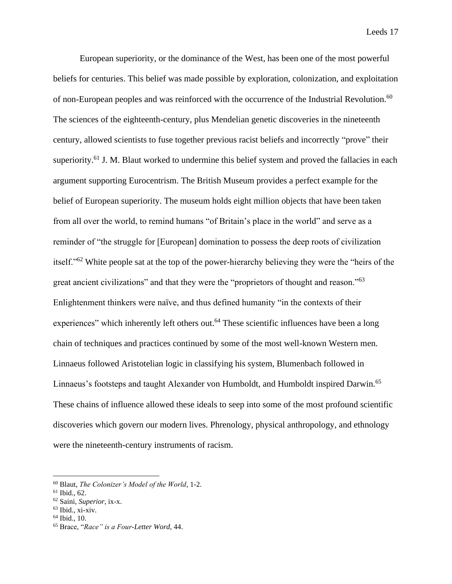European superiority, or the dominance of the West, has been one of the most powerful beliefs for centuries. This belief was made possible by exploration, colonization, and exploitation of non-European peoples and was reinforced with the occurrence of the Industrial Revolution.<sup>60</sup> The sciences of the eighteenth-century, plus Mendelian genetic discoveries in the nineteenth century, allowed scientists to fuse together previous racist beliefs and incorrectly "prove" their superiority.<sup>61</sup> J. M. Blaut worked to undermine this belief system and proved the fallacies in each argument supporting Eurocentrism. The British Museum provides a perfect example for the belief of European superiority. The museum holds eight million objects that have been taken from all over the world, to remind humans "of Britain's place in the world" and serve as a reminder of "the struggle for [European] domination to possess the deep roots of civilization itself."<sup>62</sup> White people sat at the top of the power-hierarchy believing they were the "heirs of the great ancient civilizations" and that they were the "proprietors of thought and reason."<sup>63</sup> Enlightenment thinkers were naïve, and thus defined humanity "in the contexts of their experiences" which inherently left others out.<sup>64</sup> These scientific influences have been a long chain of techniques and practices continued by some of the most well-known Western men. Linnaeus followed Aristotelian logic in classifying his system, Blumenbach followed in Linnaeus's footsteps and taught Alexander von Humboldt, and Humboldt inspired Darwin.<sup>65</sup> These chains of influence allowed these ideals to seep into some of the most profound scientific discoveries which govern our modern lives. Phrenology, physical anthropology, and ethnology were the nineteenth-century instruments of racism.

<sup>64</sup> Ibid., 10.

<sup>60</sup> Blaut, *The Colonizer's Model of the World*, 1-2.

 $61$  Ibid., 62.

<sup>62</sup> Saini, *Superior*, ix-x.

 $63$  Ibid., xi-xiv.

<sup>65</sup> Brace, "*Race" is a Four-Letter Word*, 44.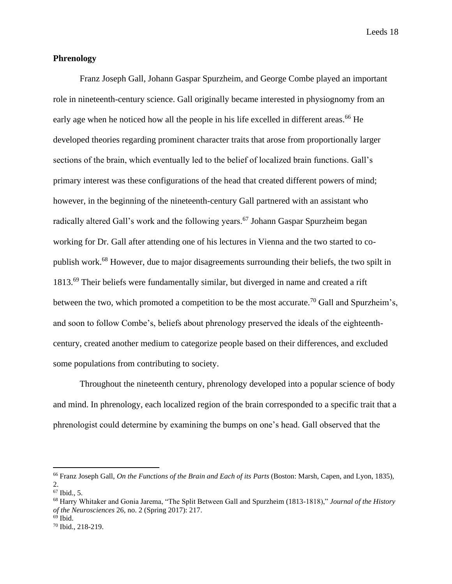## **Phrenology**

Franz Joseph Gall, Johann Gaspar Spurzheim, and George Combe played an important role in nineteenth-century science. Gall originally became interested in physiognomy from an early age when he noticed how all the people in his life excelled in different areas.<sup>66</sup> He developed theories regarding prominent character traits that arose from proportionally larger sections of the brain, which eventually led to the belief of localized brain functions. Gall's primary interest was these configurations of the head that created different powers of mind; however, in the beginning of the nineteenth-century Gall partnered with an assistant who radically altered Gall's work and the following years.<sup>67</sup> Johann Gaspar Spurzheim began working for Dr. Gall after attending one of his lectures in Vienna and the two started to copublish work.<sup>68</sup> However, due to major disagreements surrounding their beliefs, the two spilt in 1813.<sup>69</sup> Their beliefs were fundamentally similar, but diverged in name and created a rift between the two, which promoted a competition to be the most accurate.<sup>70</sup> Gall and Spurzheim's, and soon to follow Combe's, beliefs about phrenology preserved the ideals of the eighteenthcentury, created another medium to categorize people based on their differences, and excluded some populations from contributing to society.

Throughout the nineteenth century, phrenology developed into a popular science of body and mind. In phrenology, each localized region of the brain corresponded to a specific trait that a phrenologist could determine by examining the bumps on one's head. Gall observed that the

<sup>66</sup> Franz Joseph Gall, *On the Functions of the Brain and Each of its Parts* (Boston: Marsh, Capen, and Lyon, 1835), 2.

<sup>67</sup> Ibid., 5.

<sup>68</sup> Harry Whitaker and Gonia Jarema, "The Split Between Gall and Spurzheim (1813-1818)," *Journal of the History of the Neurosciences* 26, no. 2 (Spring 2017): 217.

 $69$  Ibid.

<sup>70</sup> Ibid., 218-219.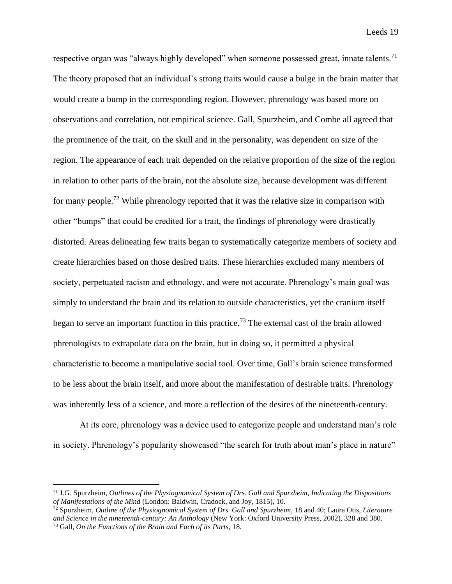respective organ was "always highly developed" when someone possessed great, innate talents.<sup>71</sup> The theory proposed that an individual's strong traits would cause a bulge in the brain matter that would create a bump in the corresponding region. However, phrenology was based more on observations and correlation, not empirical science. Gall, Spurzheim, and Combe all agreed that the prominence of the trait, on the skull and in the personality, was dependent on size of the region. The appearance of each trait depended on the relative proportion of the size of the region in relation to other parts of the brain, not the absolute size, because development was different for many people.<sup>72</sup> While phrenology reported that it was the relative size in comparison with other "bumps" that could be credited for a trait, the findings of phrenology were drastically distorted. Areas delineating few traits began to systematically categorize members of society and create hierarchies based on those desired traits. These hierarchies excluded many members of society, perpetuated racism and ethnology, and were not accurate. Phrenology's main goal was simply to understand the brain and its relation to outside characteristics, yet the cranium itself began to serve an important function in this practice.<sup>73</sup> The external cast of the brain allowed phrenologists to extrapolate data on the brain, but in doing so, it permitted a physical characteristic to become a manipulative social tool. Over time, Gall's brain science transformed to be less about the brain itself, and more about the manifestation of desirable traits. Phrenology was inherently less of a science, and more a reflection of the desires of the nineteenth-century.

At its core, phrenology was a device used to categorize people and understand man's role in society. Phrenology's popularity showcased "the search for truth about man's place in nature"

<sup>71</sup> J.G. Spurzheim, *Outlines of the Physiognomical System of Drs. Gall and Spurzheim, Indicating the Dispositions of Manifestations of the Mind* (London: Baldwin, Cradock, and Joy, 1815), 10.

<sup>72</sup> Spurzheim, *Outline of the Physiognomical System of Drs. Gall and Spurzheim*, 18 and 40; Laura Otis, *Literature and Science in the nineteenth-century: An Anthology* (New York: Oxford University Press, 2002), 328 and 380. <sup>73</sup> Gall, *On the Functions of the Brain and Each of its Parts,* 18.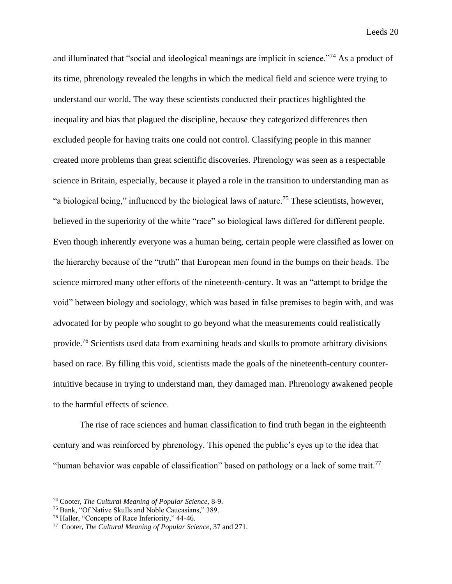and illuminated that "social and ideological meanings are implicit in science."<sup>74</sup> As a product of its time, phrenology revealed the lengths in which the medical field and science were trying to understand our world. The way these scientists conducted their practices highlighted the inequality and bias that plagued the discipline, because they categorized differences then excluded people for having traits one could not control. Classifying people in this manner created more problems than great scientific discoveries. Phrenology was seen as a respectable science in Britain, especially, because it played a role in the transition to understanding man as "a biological being," influenced by the biological laws of nature.<sup>75</sup> These scientists, however, believed in the superiority of the white "race" so biological laws differed for different people. Even though inherently everyone was a human being, certain people were classified as lower on the hierarchy because of the "truth" that European men found in the bumps on their heads. The science mirrored many other efforts of the nineteenth-century. It was an "attempt to bridge the void" between biology and sociology, which was based in false premises to begin with, and was advocated for by people who sought to go beyond what the measurements could realistically provide.<sup>76</sup> Scientists used data from examining heads and skulls to promote arbitrary divisions based on race. By filling this void, scientists made the goals of the nineteenth-century counterintuitive because in trying to understand man, they damaged man. Phrenology awakened people to the harmful effects of science.

The rise of race sciences and human classification to find truth began in the eighteenth century and was reinforced by phrenology. This opened the public's eyes up to the idea that "human behavior was capable of classification" based on pathology or a lack of some trait.<sup>77</sup>

<sup>74</sup> Cooter, *The Cultural Meaning of Popular Science,* 8-9.

<sup>75</sup> Bank, "Of Native Skulls and Noble Caucasians," 389.

<sup>76</sup> Haller, "Concepts of Race Inferiority," 44-46.

<sup>77</sup> Cooter, *The Cultural Meaning of Popular Science*, 37 and 271.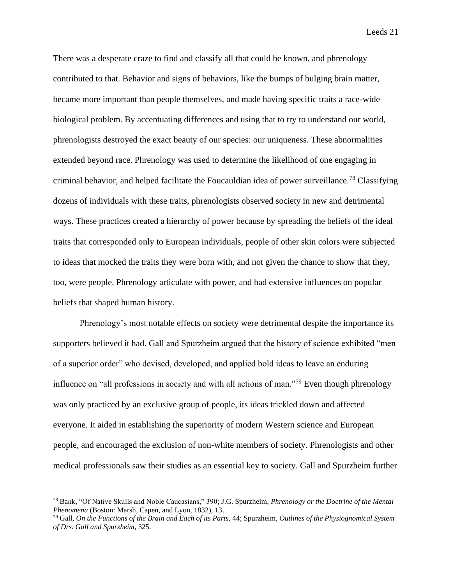There was a desperate craze to find and classify all that could be known, and phrenology contributed to that. Behavior and signs of behaviors, like the bumps of bulging brain matter, became more important than people themselves, and made having specific traits a race-wide biological problem. By accentuating differences and using that to try to understand our world, phrenologists destroyed the exact beauty of our species: our uniqueness. These abnormalities extended beyond race. Phrenology was used to determine the likelihood of one engaging in criminal behavior, and helped facilitate the Foucauldian idea of power surveillance.<sup>78</sup> Classifying dozens of individuals with these traits, phrenologists observed society in new and detrimental ways. These practices created a hierarchy of power because by spreading the beliefs of the ideal traits that corresponded only to European individuals, people of other skin colors were subjected to ideas that mocked the traits they were born with, and not given the chance to show that they, too, were people. Phrenology articulate with power, and had extensive influences on popular beliefs that shaped human history.

Phrenology's most notable effects on society were detrimental despite the importance its supporters believed it had. Gall and Spurzheim argued that the history of science exhibited "men of a superior order" who devised, developed, and applied bold ideas to leave an enduring influence on "all professions in society and with all actions of man."<sup>79</sup> Even though phrenology was only practiced by an exclusive group of people, its ideas trickled down and affected everyone. It aided in establishing the superiority of modern Western science and European people, and encouraged the exclusion of non-white members of society. Phrenologists and other medical professionals saw their studies as an essential key to society. Gall and Spurzheim further

<sup>78</sup> Bank, "Of Native Skulls and Noble Caucasians," 390; J.G. Spurzheim, *Phrenology or the Doctrine of the Mental Phenomena* (Boston: Marsh, Capen, and Lyon, 1832), 13.

<sup>79</sup> Gall, *On the Functions of the Brain and Each of its Parts,* 44; Spurzheim, *Outlines of the Physiognomical System of Drs. Gall and Spurzheim,* 325.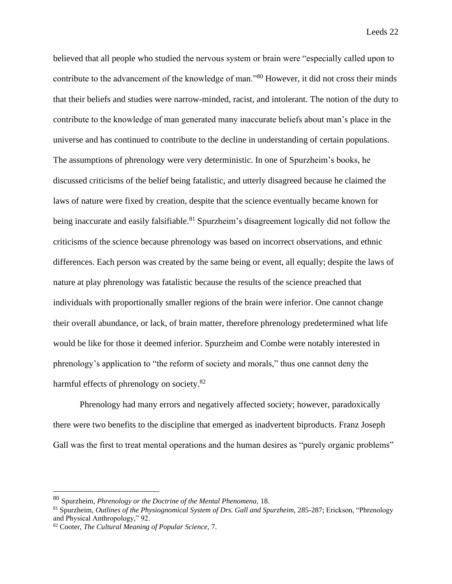believed that all people who studied the nervous system or brain were "especially called upon to contribute to the advancement of the knowledge of man."<sup>80</sup> However, it did not cross their minds that their beliefs and studies were narrow-minded, racist, and intolerant. The notion of the duty to contribute to the knowledge of man generated many inaccurate beliefs about man's place in the universe and has continued to contribute to the decline in understanding of certain populations. The assumptions of phrenology were very deterministic. In one of Spurzheim's books, he discussed criticisms of the belief being fatalistic, and utterly disagreed because he claimed the laws of nature were fixed by creation, despite that the science eventually became known for being inaccurate and easily falsifiable.<sup>81</sup> Spurzheim's disagreement logically did not follow the criticisms of the science because phrenology was based on incorrect observations, and ethnic differences. Each person was created by the same being or event, all equally; despite the laws of nature at play phrenology was fatalistic because the results of the science preached that individuals with proportionally smaller regions of the brain were inferior. One cannot change their overall abundance, or lack, of brain matter, therefore phrenology predetermined what life would be like for those it deemed inferior. Spurzheim and Combe were notably interested in phrenology's application to "the reform of society and morals," thus one cannot deny the harmful effects of phrenology on society.<sup>82</sup>

Phrenology had many errors and negatively affected society; however, paradoxically there were two benefits to the discipline that emerged as inadvertent biproducts. Franz Joseph Gall was the first to treat mental operations and the human desires as "purely organic problems"

<sup>80</sup> Spurzheim, *Phrenology or the Doctrine of the Mental Phenomena,* 18.

<sup>81</sup> Spurzheim, *Outlines of the Physiognomical System of Drs. Gall and Spurzheim,* 285-287; Erickson, "Phrenology and Physical Anthropology," 92.

<sup>82</sup> Cooter, *The Cultural Meaning of Popular Science,* 7.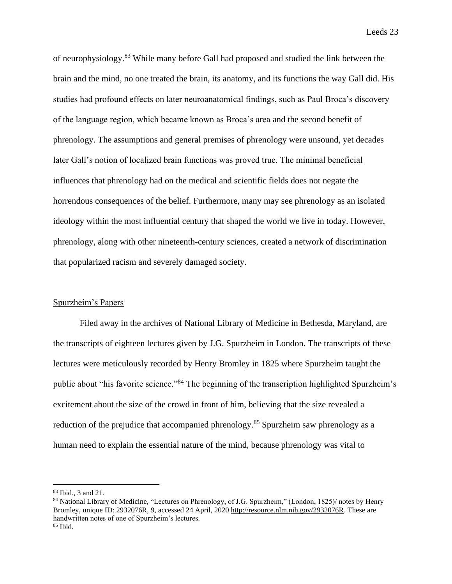of neurophysiology.<sup>83</sup> While many before Gall had proposed and studied the link between the brain and the mind, no one treated the brain, its anatomy, and its functions the way Gall did. His studies had profound effects on later neuroanatomical findings, such as Paul Broca's discovery of the language region, which became known as Broca's area and the second benefit of phrenology. The assumptions and general premises of phrenology were unsound, yet decades later Gall's notion of localized brain functions was proved true. The minimal beneficial influences that phrenology had on the medical and scientific fields does not negate the horrendous consequences of the belief. Furthermore, many may see phrenology as an isolated ideology within the most influential century that shaped the world we live in today. However, phrenology, along with other nineteenth-century sciences, created a network of discrimination that popularized racism and severely damaged society.

# Spurzheim's Papers

Filed away in the archives of National Library of Medicine in Bethesda, Maryland, are the transcripts of eighteen lectures given by J.G. Spurzheim in London. The transcripts of these lectures were meticulously recorded by Henry Bromley in 1825 where Spurzheim taught the public about "his favorite science."<sup>84</sup> The beginning of the transcription highlighted Spurzheim's excitement about the size of the crowd in front of him, believing that the size revealed a reduction of the prejudice that accompanied phrenology.<sup>85</sup> Spurzheim saw phrenology as a human need to explain the essential nature of the mind, because phrenology was vital to

<sup>83</sup> Ibid., 3 and 21.

<sup>&</sup>lt;sup>84</sup> National Library of Medicine, "Lectures on Phrenology, of J.G. Spurzheim," (London, 1825)/ notes by Henry Bromley, unique ID: 2932076R, 9, accessed 24 April, 2020 [http://resource.nlm.nih.gov/2932076R.](http://resource.nlm.nih.gov/2932076R) These are handwritten notes of one of Spurzheim's lectures.  $85$  Ibid.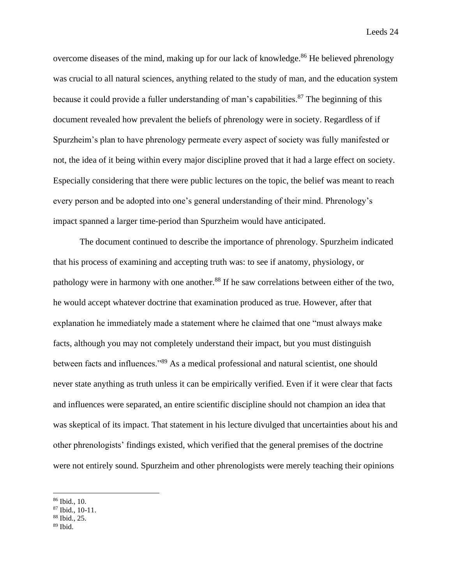overcome diseases of the mind, making up for our lack of knowledge.<sup>86</sup> He believed phrenology was crucial to all natural sciences, anything related to the study of man, and the education system because it could provide a fuller understanding of man's capabilities.<sup>87</sup> The beginning of this document revealed how prevalent the beliefs of phrenology were in society. Regardless of if Spurzheim's plan to have phrenology permeate every aspect of society was fully manifested or not, the idea of it being within every major discipline proved that it had a large effect on society. Especially considering that there were public lectures on the topic, the belief was meant to reach every person and be adopted into one's general understanding of their mind. Phrenology's impact spanned a larger time-period than Spurzheim would have anticipated.

The document continued to describe the importance of phrenology. Spurzheim indicated that his process of examining and accepting truth was: to see if anatomy, physiology, or pathology were in harmony with one another.<sup>88</sup> If he saw correlations between either of the two, he would accept whatever doctrine that examination produced as true. However, after that explanation he immediately made a statement where he claimed that one "must always make facts, although you may not completely understand their impact, but you must distinguish between facts and influences."<sup>89</sup> As a medical professional and natural scientist, one should never state anything as truth unless it can be empirically verified. Even if it were clear that facts and influences were separated, an entire scientific discipline should not champion an idea that was skeptical of its impact. That statement in his lecture divulged that uncertainties about his and other phrenologists' findings existed, which verified that the general premises of the doctrine were not entirely sound. Spurzheim and other phrenologists were merely teaching their opinions

<sup>86</sup> Ibid., 10.

<sup>87</sup> Ibid., 10-11.

<sup>88</sup> Ibid., 25.

 $89$  Ibid.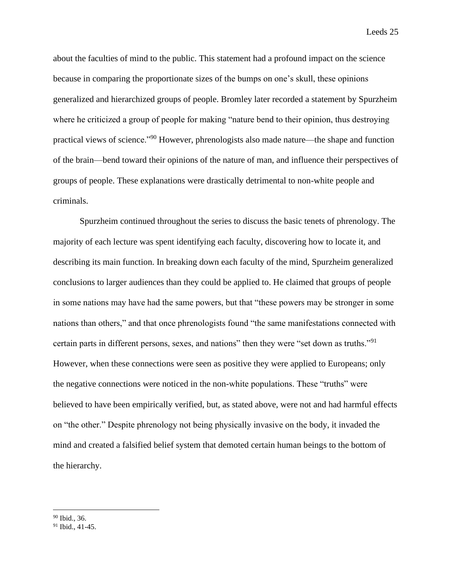about the faculties of mind to the public. This statement had a profound impact on the science because in comparing the proportionate sizes of the bumps on one's skull, these opinions generalized and hierarchized groups of people. Bromley later recorded a statement by Spurzheim where he criticized a group of people for making "nature bend to their opinion, thus destroying practical views of science."<sup>90</sup> However, phrenologists also made nature—the shape and function of the brain—bend toward their opinions of the nature of man, and influence their perspectives of groups of people. These explanations were drastically detrimental to non-white people and criminals.

Spurzheim continued throughout the series to discuss the basic tenets of phrenology. The majority of each lecture was spent identifying each faculty, discovering how to locate it, and describing its main function. In breaking down each faculty of the mind, Spurzheim generalized conclusions to larger audiences than they could be applied to. He claimed that groups of people in some nations may have had the same powers, but that "these powers may be stronger in some nations than others," and that once phrenologists found "the same manifestations connected with certain parts in different persons, sexes, and nations" then they were "set down as truths."<sup>91</sup> However, when these connections were seen as positive they were applied to Europeans; only the negative connections were noticed in the non-white populations. These "truths" were believed to have been empirically verified, but, as stated above, were not and had harmful effects on "the other." Despite phrenology not being physically invasive on the body, it invaded the mind and created a falsified belief system that demoted certain human beings to the bottom of the hierarchy.

<sup>90</sup> Ibid., 36.

 $91$  Ibid., 41-45.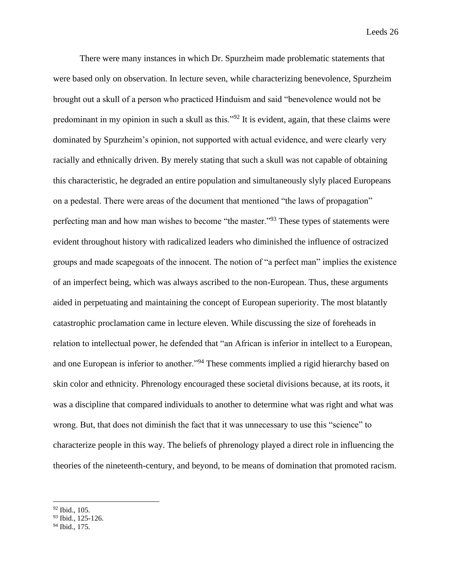There were many instances in which Dr. Spurzheim made problematic statements that were based only on observation. In lecture seven, while characterizing benevolence, Spurzheim brought out a skull of a person who practiced Hinduism and said "benevolence would not be predominant in my opinion in such a skull as this."<sup>92</sup> It is evident, again, that these claims were dominated by Spurzheim's opinion, not supported with actual evidence, and were clearly very racially and ethnically driven. By merely stating that such a skull was not capable of obtaining this characteristic, he degraded an entire population and simultaneously slyly placed Europeans on a pedestal. There were areas of the document that mentioned "the laws of propagation" perfecting man and how man wishes to become "the master."<sup>93</sup> These types of statements were evident throughout history with radicalized leaders who diminished the influence of ostracized groups and made scapegoats of the innocent. The notion of "a perfect man" implies the existence of an imperfect being, which was always ascribed to the non-European. Thus, these arguments aided in perpetuating and maintaining the concept of European superiority. The most blatantly catastrophic proclamation came in lecture eleven. While discussing the size of foreheads in relation to intellectual power, he defended that "an African is inferior in intellect to a European, and one European is inferior to another."<sup>94</sup> These comments implied a rigid hierarchy based on skin color and ethnicity. Phrenology encouraged these societal divisions because, at its roots, it was a discipline that compared individuals to another to determine what was right and what was wrong. But, that does not diminish the fact that it was unnecessary to use this "science" to characterize people in this way. The beliefs of phrenology played a direct role in influencing the theories of the nineteenth-century, and beyond, to be means of domination that promoted racism.

<sup>92</sup> Ibid., 105.

<sup>93</sup> Ibid., 125-126.

<sup>94</sup> Ibid., 175.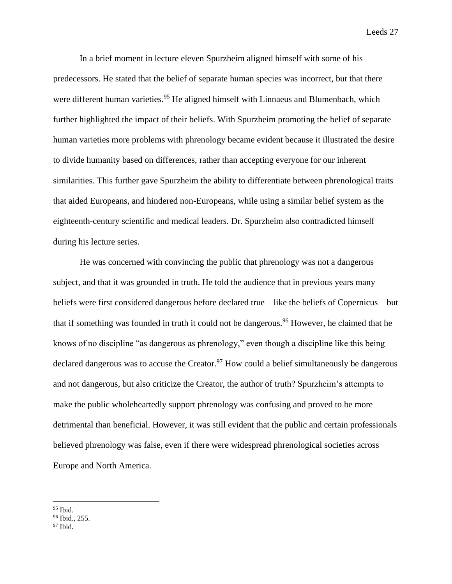In a brief moment in lecture eleven Spurzheim aligned himself with some of his predecessors. He stated that the belief of separate human species was incorrect, but that there were different human varieties.<sup>95</sup> He aligned himself with Linnaeus and Blumenbach, which further highlighted the impact of their beliefs. With Spurzheim promoting the belief of separate human varieties more problems with phrenology became evident because it illustrated the desire to divide humanity based on differences, rather than accepting everyone for our inherent similarities. This further gave Spurzheim the ability to differentiate between phrenological traits that aided Europeans, and hindered non-Europeans, while using a similar belief system as the eighteenth-century scientific and medical leaders. Dr. Spurzheim also contradicted himself during his lecture series.

He was concerned with convincing the public that phrenology was not a dangerous subject, and that it was grounded in truth. He told the audience that in previous years many beliefs were first considered dangerous before declared true—like the beliefs of Copernicus—but that if something was founded in truth it could not be dangerous.<sup>96</sup> However, he claimed that he knows of no discipline "as dangerous as phrenology," even though a discipline like this being declared dangerous was to accuse the Creator.<sup>97</sup> How could a belief simultaneously be dangerous and not dangerous, but also criticize the Creator, the author of truth? Spurzheim's attempts to make the public wholeheartedly support phrenology was confusing and proved to be more detrimental than beneficial. However, it was still evident that the public and certain professionals believed phrenology was false, even if there were widespread phrenological societies across Europe and North America.

<sup>95</sup> Ibid.

<sup>96</sup> Ibid., 255.

 $97$  Ibid.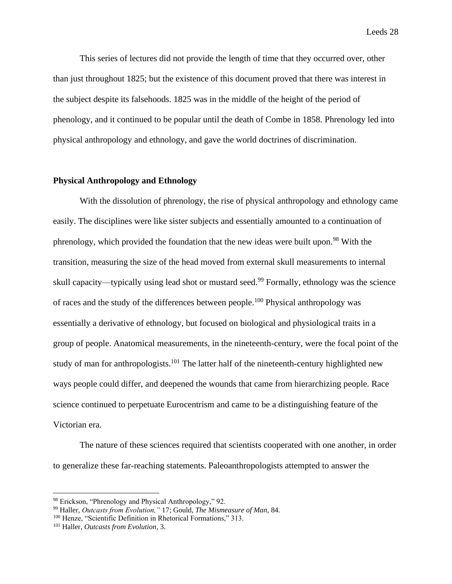This series of lectures did not provide the length of time that they occurred over, other than just throughout 1825; but the existence of this document proved that there was interest in the subject despite its falsehoods. 1825 was in the middle of the height of the period of phenology, and it continued to be popular until the death of Combe in 1858. Phrenology led into physical anthropology and ethnology, and gave the world doctrines of discrimination.

## **Physical Anthropology and Ethnology**

With the dissolution of phrenology, the rise of physical anthropology and ethnology came easily. The disciplines were like sister subjects and essentially amounted to a continuation of phrenology, which provided the foundation that the new ideas were built upon.<sup>98</sup> With the transition, measuring the size of the head moved from external skull measurements to internal skull capacity—typically using lead shot or mustard seed.<sup>99</sup> Formally, ethnology was the science of races and the study of the differences between people.<sup>100</sup> Physical anthropology was essentially a derivative of ethnology, but focused on biological and physiological traits in a group of people. Anatomical measurements, in the nineteenth-century, were the focal point of the study of man for anthropologists.<sup>101</sup> The latter half of the nineteenth-century highlighted new ways people could differ, and deepened the wounds that came from hierarchizing people. Race science continued to perpetuate Eurocentrism and came to be a distinguishing feature of the Victorian era.

The nature of these sciences required that scientists cooperated with one another, in order to generalize these far-reaching statements. Paleoanthropologists attempted to answer the

<sup>98</sup> Erickson, "Phrenology and Physical Anthropology," 92.

<sup>99</sup> Haller, *Outcasts from Evolution,"* 17; Gould, *The Mismeasure of Man,* 84.

<sup>&</sup>lt;sup>100</sup> Henze, "Scientific Definition in Rhetorical Formations," 313.

<sup>101</sup> Haller, *Outcasts from Evolution*, 3.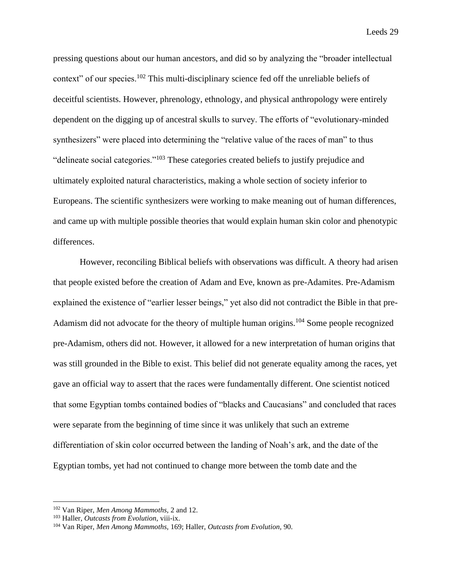pressing questions about our human ancestors, and did so by analyzing the "broader intellectual context" of our species.<sup>102</sup> This multi-disciplinary science fed off the unreliable beliefs of deceitful scientists. However, phrenology, ethnology, and physical anthropology were entirely dependent on the digging up of ancestral skulls to survey. The efforts of "evolutionary-minded synthesizers" were placed into determining the "relative value of the races of man" to thus "delineate social categories."<sup>103</sup> These categories created beliefs to justify prejudice and ultimately exploited natural characteristics, making a whole section of society inferior to Europeans. The scientific synthesizers were working to make meaning out of human differences, and came up with multiple possible theories that would explain human skin color and phenotypic differences.

However, reconciling Biblical beliefs with observations was difficult. A theory had arisen that people existed before the creation of Adam and Eve, known as pre-Adamites. Pre-Adamism explained the existence of "earlier lesser beings," yet also did not contradict the Bible in that pre-Adamism did not advocate for the theory of multiple human origins.<sup>104</sup> Some people recognized pre-Adamism, others did not. However, it allowed for a new interpretation of human origins that was still grounded in the Bible to exist. This belief did not generate equality among the races, yet gave an official way to assert that the races were fundamentally different. One scientist noticed that some Egyptian tombs contained bodies of "blacks and Caucasians" and concluded that races were separate from the beginning of time since it was unlikely that such an extreme differentiation of skin color occurred between the landing of Noah's ark, and the date of the Egyptian tombs, yet had not continued to change more between the tomb date and the

<sup>102</sup> Van Riper, *Men Among Mammoths,* 2 and 12.

<sup>103</sup> Haller, *Outcasts from Evolution,* viii-ix.

<sup>104</sup> Van Riper, *Men Among Mammoths,* 169; Haller, *Outcasts from Evolution,* 90.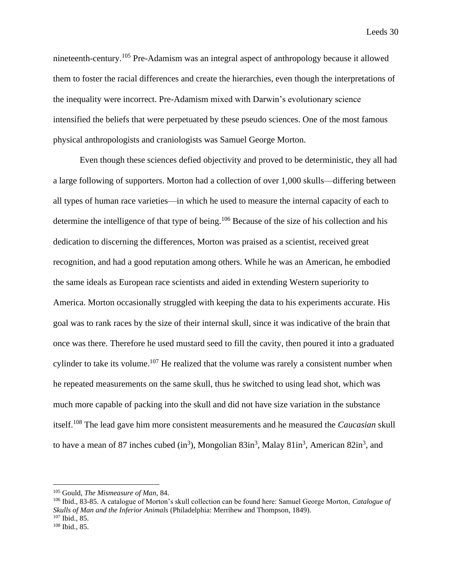nineteenth-century.<sup>105</sup> Pre-Adamism was an integral aspect of anthropology because it allowed them to foster the racial differences and create the hierarchies, even though the interpretations of the inequality were incorrect. Pre-Adamism mixed with Darwin's evolutionary science intensified the beliefs that were perpetuated by these pseudo sciences. One of the most famous physical anthropologists and craniologists was Samuel George Morton.

Even though these sciences defied objectivity and proved to be deterministic, they all had a large following of supporters. Morton had a collection of over 1,000 skulls—differing between all types of human race varieties—in which he used to measure the internal capacity of each to determine the intelligence of that type of being.<sup>106</sup> Because of the size of his collection and his dedication to discerning the differences, Morton was praised as a scientist, received great recognition, and had a good reputation among others. While he was an American, he embodied the same ideals as European race scientists and aided in extending Western superiority to America. Morton occasionally struggled with keeping the data to his experiments accurate. His goal was to rank races by the size of their internal skull, since it was indicative of the brain that once was there. Therefore he used mustard seed to fill the cavity, then poured it into a graduated cylinder to take its volume.<sup>107</sup> He realized that the volume was rarely a consistent number when he repeated measurements on the same skull, thus he switched to using lead shot, which was much more capable of packing into the skull and did not have size variation in the substance itself.<sup>108</sup> The lead gave him more consistent measurements and he measured the *Caucasian* skull to have a mean of 87 inches cubed  $(in^3)$ , Mongolian 83 $in^3$ , Malay 81 $in^3$ , American 82 $in^3$ , and

<sup>105</sup> Gould, *The Mismeasure of Man,* 84.

<sup>106</sup> Ibid., 83-85. A catalogue of Morton's skull collection can be found here: Samuel George Morton, *Catalogue of Skulls of Man and the Inferior Animals* (Philadelphia: Merrihew and Thompson, 1849).  $107$  Ibid., 85.

<sup>108</sup> Ibid., 85.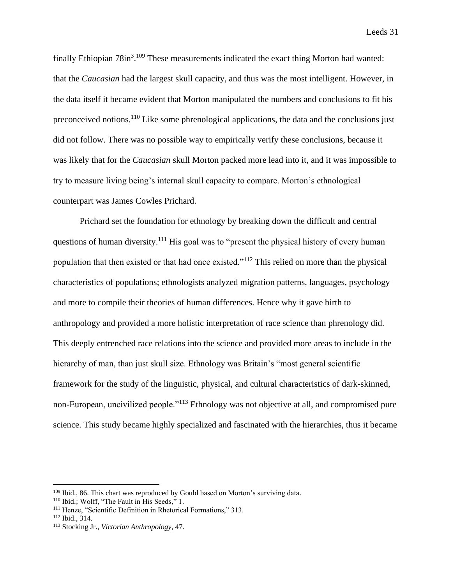finally Ethiopian  $78$ in<sup>3</sup>.<sup>109</sup> These measurements indicated the exact thing Morton had wanted: that the *Caucasian* had the largest skull capacity, and thus was the most intelligent. However, in the data itself it became evident that Morton manipulated the numbers and conclusions to fit his preconceived notions.<sup>110</sup> Like some phrenological applications, the data and the conclusions just did not follow. There was no possible way to empirically verify these conclusions, because it was likely that for the *Caucasian* skull Morton packed more lead into it, and it was impossible to try to measure living being's internal skull capacity to compare. Morton's ethnological counterpart was James Cowles Prichard.

Prichard set the foundation for ethnology by breaking down the difficult and central questions of human diversity.<sup>111</sup> His goal was to "present the physical history of every human population that then existed or that had once existed."<sup>112</sup> This relied on more than the physical characteristics of populations; ethnologists analyzed migration patterns, languages, psychology and more to compile their theories of human differences. Hence why it gave birth to anthropology and provided a more holistic interpretation of race science than phrenology did. This deeply entrenched race relations into the science and provided more areas to include in the hierarchy of man, than just skull size. Ethnology was Britain's "most general scientific framework for the study of the linguistic, physical, and cultural characteristics of dark-skinned, non-European, uncivilized people."<sup>113</sup> Ethnology was not objective at all, and compromised pure science. This study became highly specialized and fascinated with the hierarchies, thus it became

<sup>&</sup>lt;sup>109</sup> Ibid., 86. This chart was reproduced by Gould based on Morton's surviving data.

<sup>&</sup>lt;sup>110</sup> Ibid.; Wolff, "The Fault in His Seeds," 1.

<sup>111</sup> Henze, "Scientific Definition in Rhetorical Formations," 313.

<sup>112</sup> Ibid., 314.

<sup>113</sup> Stocking Jr., *Victorian Anthropology,* 47.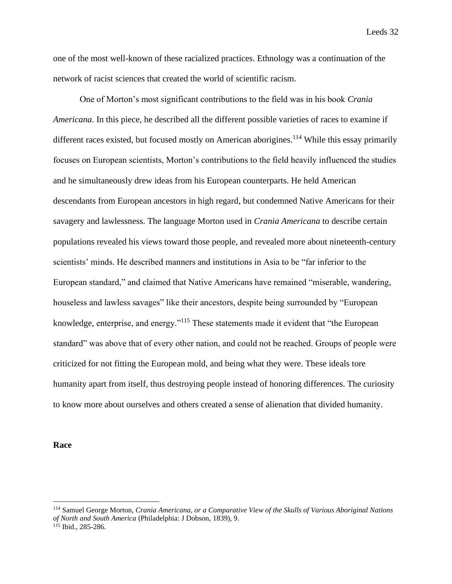one of the most well-known of these racialized practices. Ethnology was a continuation of the network of racist sciences that created the world of scientific racism.

One of Morton's most significant contributions to the field was in his book *Crania Americana*. In this piece, he described all the different possible varieties of races to examine if different races existed, but focused mostly on American aborigines.<sup>114</sup> While this essay primarily focuses on European scientists, Morton's contributions to the field heavily influenced the studies and he simultaneously drew ideas from his European counterparts. He held American descendants from European ancestors in high regard, but condemned Native Americans for their savagery and lawlessness. The language Morton used in *Crania Americana* to describe certain populations revealed his views toward those people, and revealed more about nineteenth-century scientists' minds. He described manners and institutions in Asia to be "far inferior to the European standard," and claimed that Native Americans have remained "miserable, wandering, houseless and lawless savages" like their ancestors, despite being surrounded by "European knowledge, enterprise, and energy."<sup>115</sup> These statements made it evident that "the European standard" was above that of every other nation, and could not be reached. Groups of people were criticized for not fitting the European mold, and being what they were. These ideals tore humanity apart from itself, thus destroying people instead of honoring differences. The curiosity to know more about ourselves and others created a sense of alienation that divided humanity.

**Race**

<sup>114</sup> Samuel George Morton, *Crania Americana, or a Comparative View of the Skulls of Various Aboriginal Nations of North and South America* (Philadelphia: J Dobson, 1839), 9.

 $115$  Ibid., 285-286.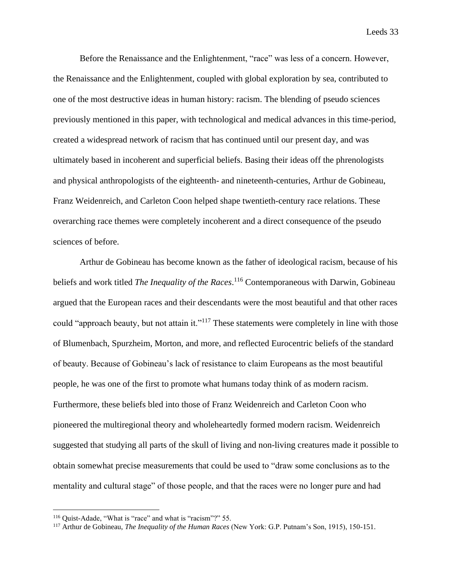Before the Renaissance and the Enlightenment, "race" was less of a concern. However, the Renaissance and the Enlightenment, coupled with global exploration by sea, contributed to one of the most destructive ideas in human history: racism. The blending of pseudo sciences previously mentioned in this paper, with technological and medical advances in this time-period, created a widespread network of racism that has continued until our present day, and was ultimately based in incoherent and superficial beliefs. Basing their ideas off the phrenologists and physical anthropologists of the eighteenth- and nineteenth-centuries, Arthur de Gobineau, Franz Weidenreich, and Carleton Coon helped shape twentieth-century race relations. These overarching race themes were completely incoherent and a direct consequence of the pseudo sciences of before.

Arthur de Gobineau has become known as the father of ideological racism, because of his beliefs and work titled *The Inequality of the Races*. <sup>116</sup> Contemporaneous with Darwin, Gobineau argued that the European races and their descendants were the most beautiful and that other races could "approach beauty, but not attain it."<sup>117</sup> These statements were completely in line with those of Blumenbach, Spurzheim, Morton, and more, and reflected Eurocentric beliefs of the standard of beauty. Because of Gobineau's lack of resistance to claim Europeans as the most beautiful people, he was one of the first to promote what humans today think of as modern racism. Furthermore, these beliefs bled into those of Franz Weidenreich and Carleton Coon who pioneered the multiregional theory and wholeheartedly formed modern racism. Weidenreich suggested that studying all parts of the skull of living and non-living creatures made it possible to obtain somewhat precise measurements that could be used to "draw some conclusions as to the mentality and cultural stage" of those people, and that the races were no longer pure and had

<sup>&</sup>lt;sup>116</sup> Quist-Adade, "What is "race" and what is "racism"?" 55.

<sup>117</sup> Arthur de Gobineau, *The Inequality of the Human Races* (New York: G.P. Putnam's Son, 1915), 150-151.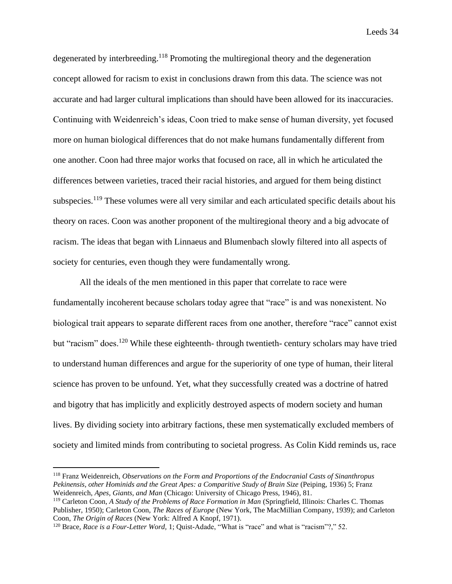degenerated by interbreeding.<sup>118</sup> Promoting the multiregional theory and the degeneration concept allowed for racism to exist in conclusions drawn from this data. The science was not accurate and had larger cultural implications than should have been allowed for its inaccuracies. Continuing with Weidenreich's ideas, Coon tried to make sense of human diversity, yet focused more on human biological differences that do not make humans fundamentally different from one another. Coon had three major works that focused on race, all in which he articulated the differences between varieties, traced their racial histories, and argued for them being distinct subspecies.<sup>119</sup> These volumes were all very similar and each articulated specific details about his theory on races. Coon was another proponent of the multiregional theory and a big advocate of racism. The ideas that began with Linnaeus and Blumenbach slowly filtered into all aspects of society for centuries, even though they were fundamentally wrong.

All the ideals of the men mentioned in this paper that correlate to race were fundamentally incoherent because scholars today agree that "race" is and was nonexistent. No biological trait appears to separate different races from one another, therefore "race" cannot exist but "racism" does.<sup>120</sup> While these eighteenth- through twentieth- century scholars may have tried to understand human differences and argue for the superiority of one type of human, their literal science has proven to be unfound. Yet, what they successfully created was a doctrine of hatred and bigotry that has implicitly and explicitly destroyed aspects of modern society and human lives. By dividing society into arbitrary factions, these men systematically excluded members of society and limited minds from contributing to societal progress. As Colin Kidd reminds us, race

<sup>118</sup> Franz Weidenreich, *Observations on the Form and Proportions of the Endocranial Casts of Sinanthropus Pekinensis, other Hominids and the Great Apes: a Comparitive Study of Brain Size* (Peiping, 1936) 5; Franz Weidenreich, *Apes, Giants, and Man* (Chicago: University of Chicago Press, 1946), 81.

<sup>119</sup> Carleton Coon, *A Study of the Problems of Race Formation in Man* (Springfield, Illinois: Charles C. Thomas Publisher, 1950); Carleton Coon, *The Races of Europe* (New York, The MacMillian Company, 1939); and Carleton Coon, *The Origin of Races* (New York: Alfred A Knopf, 1971).

<sup>120</sup> Brace, *Race is a Four-Letter Word,* 1; Quist-Adade, "What is "race" and what is "racism"?," 52.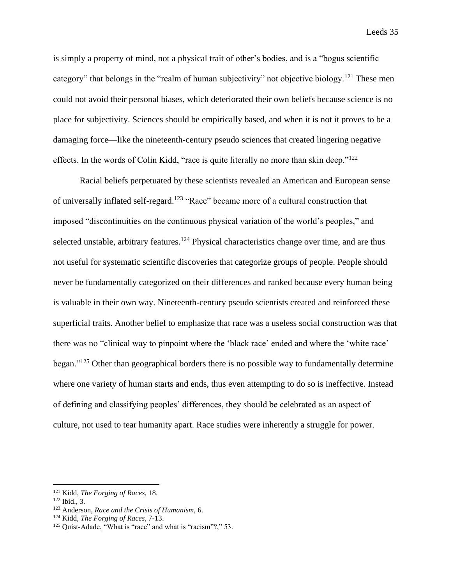is simply a property of mind, not a physical trait of other's bodies, and is a "bogus scientific category" that belongs in the "realm of human subjectivity" not objective biology.<sup>121</sup> These men could not avoid their personal biases, which deteriorated their own beliefs because science is no place for subjectivity. Sciences should be empirically based, and when it is not it proves to be a damaging force—like the nineteenth-century pseudo sciences that created lingering negative effects. In the words of Colin Kidd, "race is quite literally no more than skin deep." $122$ 

Racial beliefs perpetuated by these scientists revealed an American and European sense of universally inflated self-regard.<sup>123</sup> "Race" became more of a cultural construction that imposed "discontinuities on the continuous physical variation of the world's peoples," and selected unstable, arbitrary features.<sup>124</sup> Physical characteristics change over time, and are thus not useful for systematic scientific discoveries that categorize groups of people. People should never be fundamentally categorized on their differences and ranked because every human being is valuable in their own way. Nineteenth-century pseudo scientists created and reinforced these superficial traits. Another belief to emphasize that race was a useless social construction was that there was no "clinical way to pinpoint where the 'black race' ended and where the 'white race' began."<sup>125</sup> Other than geographical borders there is no possible way to fundamentally determine where one variety of human starts and ends, thus even attempting to do so is ineffective. Instead of defining and classifying peoples' differences, they should be celebrated as an aspect of culture, not used to tear humanity apart. Race studies were inherently a struggle for power.

<sup>121</sup> Kidd, *The Forging of Races*, 18.

 $122$  Ibid., 3.

<sup>123</sup> Anderson, *Race and the Crisis of Humanism,* 6.

<sup>124</sup> Kidd, *The Forging of Races*, 7-13.

<sup>&</sup>lt;sup>125</sup> Quist-Adade, "What is "race" and what is "racism"?," 53.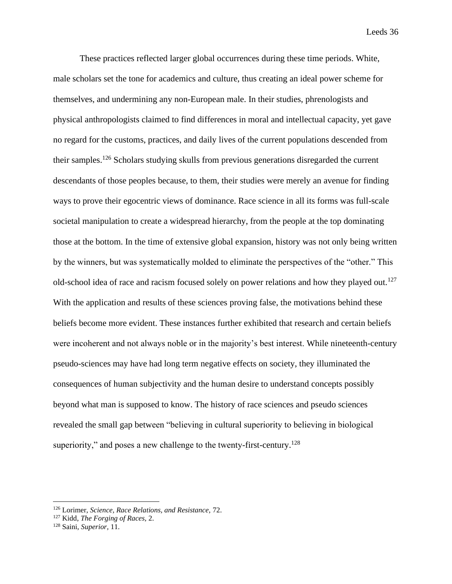These practices reflected larger global occurrences during these time periods. White, male scholars set the tone for academics and culture, thus creating an ideal power scheme for themselves, and undermining any non-European male. In their studies, phrenologists and physical anthropologists claimed to find differences in moral and intellectual capacity, yet gave no regard for the customs, practices, and daily lives of the current populations descended from their samples.<sup>126</sup> Scholars studying skulls from previous generations disregarded the current descendants of those peoples because, to them, their studies were merely an avenue for finding ways to prove their egocentric views of dominance. Race science in all its forms was full-scale societal manipulation to create a widespread hierarchy, from the people at the top dominating those at the bottom. In the time of extensive global expansion, history was not only being written by the winners, but was systematically molded to eliminate the perspectives of the "other." This old-school idea of race and racism focused solely on power relations and how they played out.<sup>127</sup> With the application and results of these sciences proving false, the motivations behind these beliefs become more evident. These instances further exhibited that research and certain beliefs were incoherent and not always noble or in the majority's best interest. While nineteenth-century pseudo-sciences may have had long term negative effects on society, they illuminated the consequences of human subjectivity and the human desire to understand concepts possibly beyond what man is supposed to know. The history of race sciences and pseudo sciences revealed the small gap between "believing in cultural superiority to believing in biological superiority," and poses a new challenge to the twenty-first-century.<sup>128</sup>

<sup>126</sup> Lorimer, *Science, Race Relations, and Resistance,* 72.

<sup>127</sup> Kidd, *The Forging of Races,* 2.

<sup>128</sup> Saini, *Superior,* 11.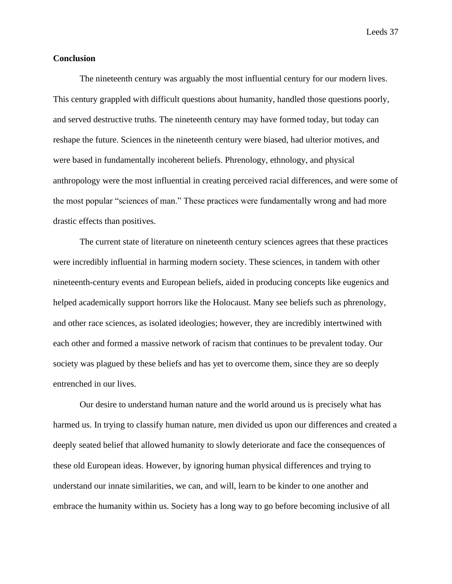## **Conclusion**

The nineteenth century was arguably the most influential century for our modern lives. This century grappled with difficult questions about humanity, handled those questions poorly, and served destructive truths. The nineteenth century may have formed today, but today can reshape the future. Sciences in the nineteenth century were biased, had ulterior motives, and were based in fundamentally incoherent beliefs. Phrenology, ethnology, and physical anthropology were the most influential in creating perceived racial differences, and were some of the most popular "sciences of man." These practices were fundamentally wrong and had more drastic effects than positives.

The current state of literature on nineteenth century sciences agrees that these practices were incredibly influential in harming modern society. These sciences, in tandem with other nineteenth-century events and European beliefs, aided in producing concepts like eugenics and helped academically support horrors like the Holocaust. Many see beliefs such as phrenology, and other race sciences, as isolated ideologies; however, they are incredibly intertwined with each other and formed a massive network of racism that continues to be prevalent today. Our society was plagued by these beliefs and has yet to overcome them, since they are so deeply entrenched in our lives.

Our desire to understand human nature and the world around us is precisely what has harmed us. In trying to classify human nature, men divided us upon our differences and created a deeply seated belief that allowed humanity to slowly deteriorate and face the consequences of these old European ideas. However, by ignoring human physical differences and trying to understand our innate similarities, we can, and will, learn to be kinder to one another and embrace the humanity within us. Society has a long way to go before becoming inclusive of all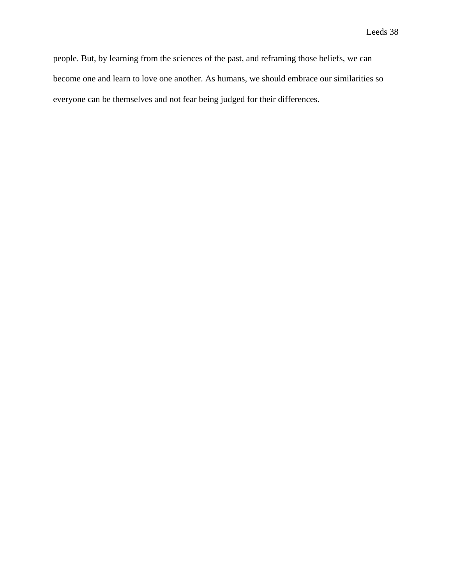people. But, by learning from the sciences of the past, and reframing those beliefs, we can become one and learn to love one another. As humans, we should embrace our similarities so everyone can be themselves and not fear being judged for their differences.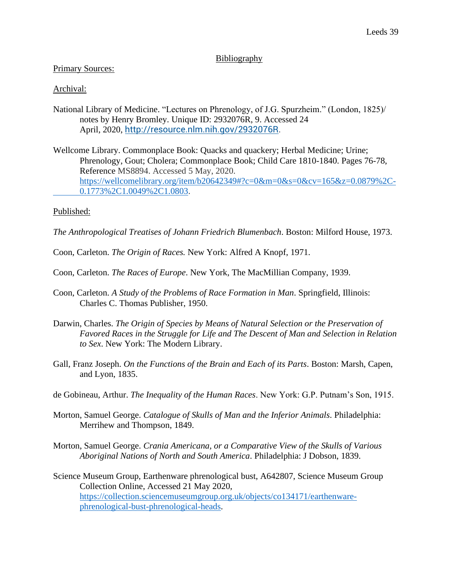# Bibliography

# Primary Sources:

# Archival:

- National Library of Medicine. "Lectures on Phrenology, of J.G. Spurzheim." (London, 1825)/ notes by Henry Bromley. Unique ID: 2932076R, 9. Accessed 24 April, 2020, [http://resource.nlm.nih.gov/2932076R.](http://resource.nlm.nih.gov/2932076R)
- Wellcome Library. Commonplace Book: Quacks and quackery; Herbal Medicine; Urine; Phrenology, Gout; Cholera; Commonplace Book; Child Care 1810-1840. Pages 76-78, Reference MS8894. Accessed 5 May, 2020. [https://wellcomelibrary.org/item/b20642349#?c=0&m=0&s=0&cv=165&z=0.0879%2C-](https://wellcomelibrary.org/item/b20642349#?c=0&m=0&s=0&cv=165&z=0.0879%2C-0.1773%2C1.0049%2C1.0803)[0.1773%2C1.0049%2C1.0803.](https://wellcomelibrary.org/item/b20642349#?c=0&m=0&s=0&cv=165&z=0.0879%2C-0.1773%2C1.0049%2C1.0803)

# Published:

*The Anthropological Treatises of Johann Friedrich Blumenbach*. Boston: Milford House, 1973.

Coon, Carleton. *The Origin of Races.* New York: Alfred A Knopf, 1971.

- Coon, Carleton. *The Races of Europe*. New York, The MacMillian Company, 1939.
- Coon, Carleton. *A Study of the Problems of Race Formation in Man*. Springfield, Illinois: Charles C. Thomas Publisher, 1950.
- Darwin, Charles. *The Origin of Species by Means of Natural Selection or the Preservation of Favored Races in the Struggle for Life and The Descent of Man and Selection in Relation to Sex*. New York: The Modern Library.
- Gall, Franz Joseph. *On the Functions of the Brain and Each of its Parts*. Boston: Marsh, Capen, and Lyon, 1835.
- de Gobineau, Arthur. *The Inequality of the Human Races*. New York: G.P. Putnam's Son, 1915.
- Morton, Samuel George. *Catalogue of Skulls of Man and the Inferior Animals*. Philadelphia: Merrihew and Thompson, 1849.
- Morton, Samuel George. *Crania Americana, or a Comparative View of the Skulls of Various Aboriginal Nations of North and South America*. Philadelphia: J Dobson, 1839.

Science Museum Group, Earthenware phrenological bust, A642807, Science Museum Group Collection Online, Accessed 21 May 2020, [https://collection.sciencemuseumgroup.org.uk/objects/co134171/earthenware](https://collection.sciencemuseumgroup.org.uk/objects/co134171/earthenware-phrenological-bust-phrenological-heads)[phrenological-bust-phrenological-heads.](https://collection.sciencemuseumgroup.org.uk/objects/co134171/earthenware-phrenological-bust-phrenological-heads)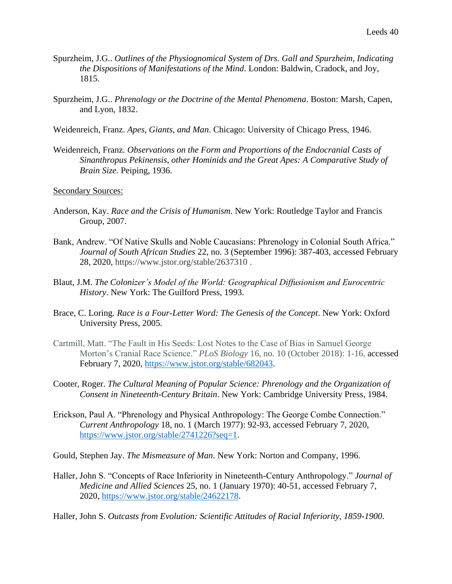- Spurzheim, J.G.. *Outlines of the Physiognomical System of Drs. Gall and Spurzheim, Indicating the Dispositions of Manifestations of the Mind*. London: Baldwin, Cradock, and Joy, 1815.
- Spurzheim, J.G.. *Phrenology or the Doctrine of the Mental Phenomena*. Boston: Marsh, Capen, and Lyon, 1832.
- Weidenreich, Franz. *Apes, Giants, and Man*. Chicago: University of Chicago Press, 1946.
- Weidenreich, Franz. *Observations on the Form and Proportions of the Endocranial Casts of Sinanthropus Pekinensis, other Hominids and the Great Apes: A Comparative Study of Brain Size.* Peiping, 1936.

Secondary Sources:

- Anderson, Kay. *Race and the Crisis of Humanism*. New York: Routledge Taylor and Francis Group, 2007.
- Bank, Andrew. "Of Native Skulls and Noble Caucasians: Phrenology in Colonial South Africa." *Journal of South African Studies* 22, no. 3 (September 1996): 387-403, accessed February 28, 2020, https://www.jstor.org/stable/2637310 .
- Blaut, J.M. *The Colonizer's Model of the World: Geographical Diffusionism and Eurocentric History*. New York: The Guilford Press, 1993.
- Brace, C. Loring*. Race is a Four-Letter Word: The Genesis of the Concept*. New York: Oxford University Press, 2005.
- Cartmill, Matt. "The Fault in His Seeds: Lost Notes to the Case of Bias in Samuel George Morton's Cranial Race Science." *PLoS Biology* 16, no. 10 (October 2018): 1-16, accessed February 7, 2020, [https://www.jstor.org/stable/682043.](https://www.jstor.org/stable/682043)
- Cooter, Roger. *The Cultural Meaning of Popular Science: Phrenology and the Organization of Consent in Nineteenth-Century Britain*. New York: Cambridge University Press, 1984.
- Erickson, Paul A. "Phrenology and Physical Anthropology: The George Combe Connection." *Current Anthropology* 18, no. 1 (March 1977): 92-93, accessed February 7, 2020, [https://www.jstor.org/stable/2741226?seq=1.](https://www.jstor.org/stable/2741226?seq=1)
- Gould, Stephen Jay. *The Mismeasure of Man*. New York: Norton and Company, 1996.
- Haller, John S. "Concepts of Race Inferiority in Nineteenth-Century Anthropology." *Journal of Medicine and Allied Sciences* 25, no. 1 (January 1970): 40-51, accessed February 7, 2020, [https://www.jstor.org/stable/24622178.](https://www.jstor.org/stable/24622178)
- Haller, John S. *Outcasts from Evolution: Scientific Attitudes of Racial Inferiority, 1859-1900*.